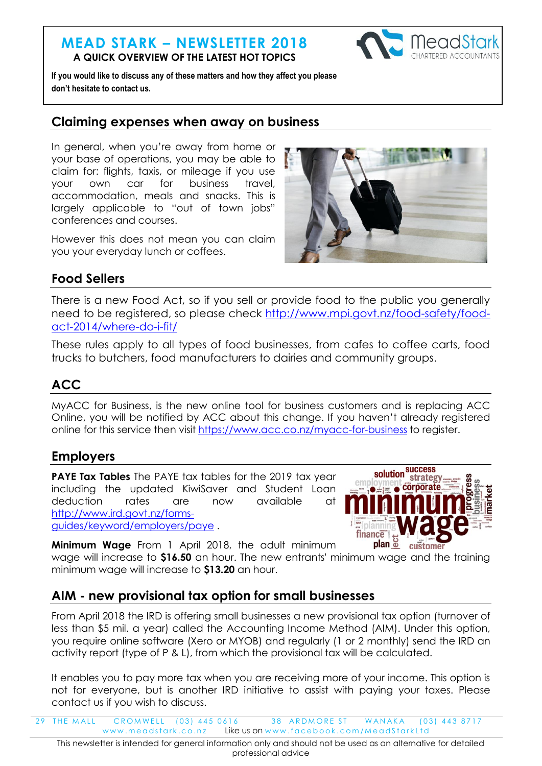#### **MEAD STARK – NEWSLETTER 2018 A QUICK OVERVIEW OF THE LATEST HOT TOPICS**



**If you would like to discuss any of these matters and how they affect you please don't hesitate to contact us.**

#### **Claiming expenses when away on business**

In general, when you're away from home or your base of operations, you may be able to claim for: flights, taxis, or mileage if you use your own car for business travel, accommodation, meals and snacks. This is largely applicable to "out of town jobs" conferences and courses.

However this does not mean you can claim you your everyday lunch or coffees.



## **Food Sellers**

There is a new Food Act, so if you sell or provide food to the public you generally need to be registered, so please check [http://www.mpi.govt.nz/food-safety/food](http://www.mpi.govt.nz/food-safety/food-act-2014/where-do-i-fit/)[act-2014/where-do-i-fit/](http://www.mpi.govt.nz/food-safety/food-act-2014/where-do-i-fit/)

These rules apply to all types of food businesses, from cafes to coffee carts, food trucks to butchers, food manufacturers to dairies and community groups.

# **ACC**

MyACC for Business, is the new online tool for business customers and is replacing ACC Online, you will be notified by ACC about this change. If you haven't already registered online for this service then visit <https://www.acc.co.nz/myacc-for-business> to register.

### **Employers**

**PAYE Tax Tables** The PAYE tax tables for the 2019 tax year including the updated KiwiSaver and Student Loan deduction rates are now available at [http://www.ird.govt.nz/forms](http://www.ird.govt.nz/forms-guides/keyword/employers/paye)[guides/keyword/employers/paye](http://www.ird.govt.nz/forms-guides/keyword/employers/paye) .



**Minimum Wage** From 1 April 2018, the adult minimum wage will increase to **\$16.50** an hour. The new entrants' minimum wage and the training

minimum wage will increase to **\$13.20** an hour.

### **AIM - new provisional tax option for small businesses**

From April 2018 the IRD is offering small businesses a new provisional tax option (turnover of less than \$5 mil. a year) called the Accounting Income Method (AIM). Under this option, you require online software (Xero or MYOB) and regularly (1 or 2 monthly) send the IRD an activity report (type of P & L), from which the provisional tax will be calculated.

It enables you to pay more tax when you are receiving more of your income. This option is not for everyone, but is another IRD initiative to assist with paying your taxes. Please contact us if you wish to discuss.

29 THE MALL CROMWELL (03) 445 0616 38 ARDMORE ST WANAKA (03) 443 8717 www.meadstark.co.nz Like us on www.facebook.com/MeadStarkLtd

This newsletter is intended for general information only and should not be used as an alternative for detailed professional advice